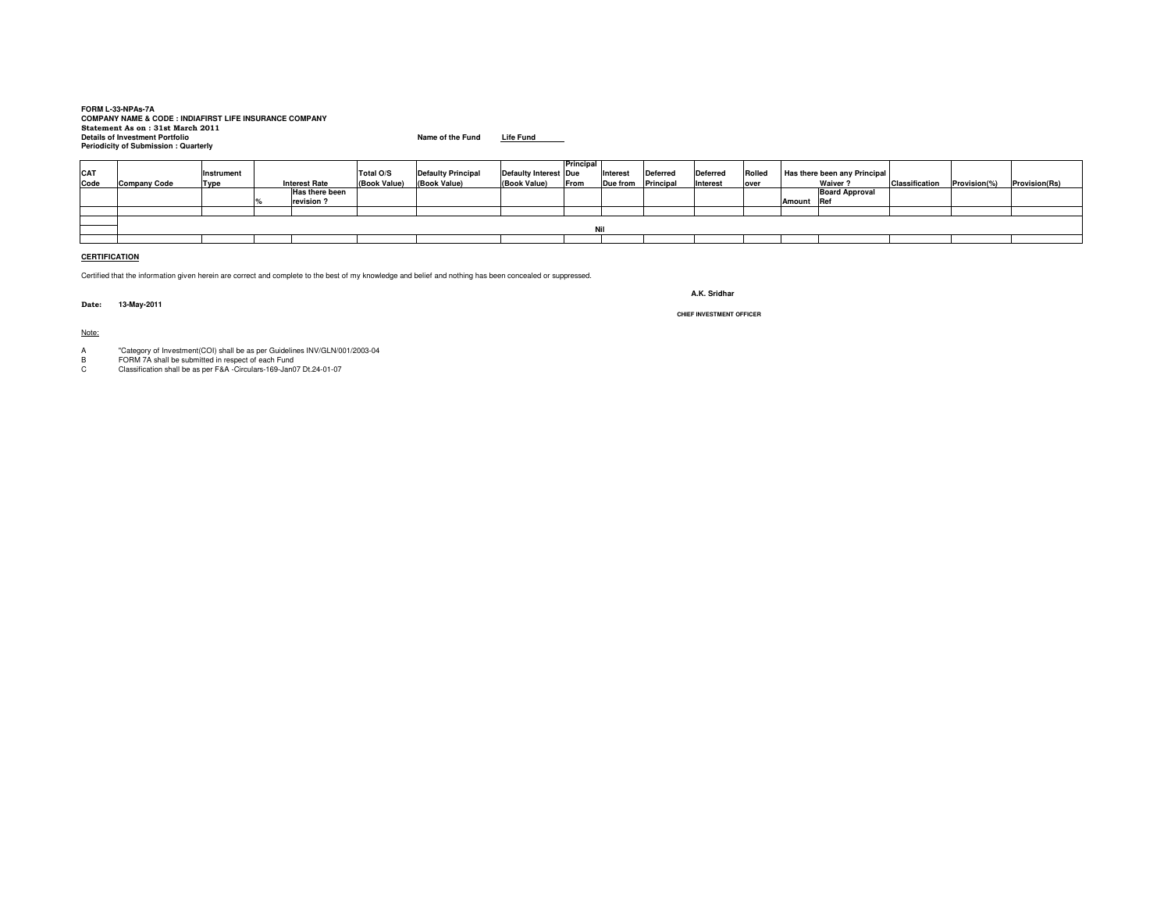# **FORM L-33-NPAs-7A COMPANY NAME & CODE : INDIAFIRST LIFE INSURANCE COMPANY Statement As on : 31st March 2011 Details of Investment PortfolioPeriodicity of Submission : Quarterly**

**Name of the Fund Life Fund**

|            |                     |             |                      |                |              |                           |                       | Principal |                    |                 |                 |        |                              |                       |                       |             |                      |
|------------|---------------------|-------------|----------------------|----------------|--------------|---------------------------|-----------------------|-----------|--------------------|-----------------|-----------------|--------|------------------------------|-----------------------|-----------------------|-------------|----------------------|
| <b>CAT</b> |                     | Instrument  |                      |                | Total O/S    | <b>Defaulty Principal</b> | Defaulty Interest Due |           | Interest           | <b>Deferred</b> | <b>Deferred</b> | Rolled | Has there been any Principal |                       |                       |             |                      |
| Code       | <b>Company Code</b> | <b>Type</b> | <b>Interest Rate</b> |                | (Book Value) | (Book Value)              | (Book Value)          | From      | Due from Principal |                 | Interest        | over   | Waiver ?                     |                       | <b>Classification</b> | Provision(% | <b>Provision(Rs)</b> |
|            |                     |             |                      | Has there been |              |                           |                       |           |                    |                 |                 |        |                              | <b>Board Approval</b> |                       |             |                      |
|            |                     |             |                      | revision?      |              |                           |                       |           |                    |                 |                 |        | Amount Ref                   |                       |                       |             |                      |
|            |                     |             |                      |                |              |                           |                       |           |                    |                 |                 |        |                              |                       |                       |             |                      |
|            |                     |             |                      |                |              |                           |                       |           |                    |                 |                 |        |                              |                       |                       |             |                      |
|            |                     |             |                      |                |              |                           |                       | Nil       |                    |                 |                 |        |                              |                       |                       |             |                      |
|            |                     |             |                      |                |              |                           |                       |           |                    |                 |                 |        |                              |                       |                       |             |                      |
|            |                     |             |                      |                |              |                           |                       |           |                    |                 |                 |        |                              |                       |                       |             |                      |

### **CERTIFICATION**

Certified that the information given herein are correct and complete to the best of my knowledge and belief and nothing has been concealed or suppressed.

**Date: 13-May-2011**

Note:

A "Category of Investment(COI) shall be as per Guidelines INV/GLN/001/2003-04 B FORM 7A shall be submitted in respect of each Fund C Classification shall be as per F&A -Circulars-169-Jan07 Dt.24-01-07

**A.K. Sridhar**

**CHIEF INVESTMENT OFFICER**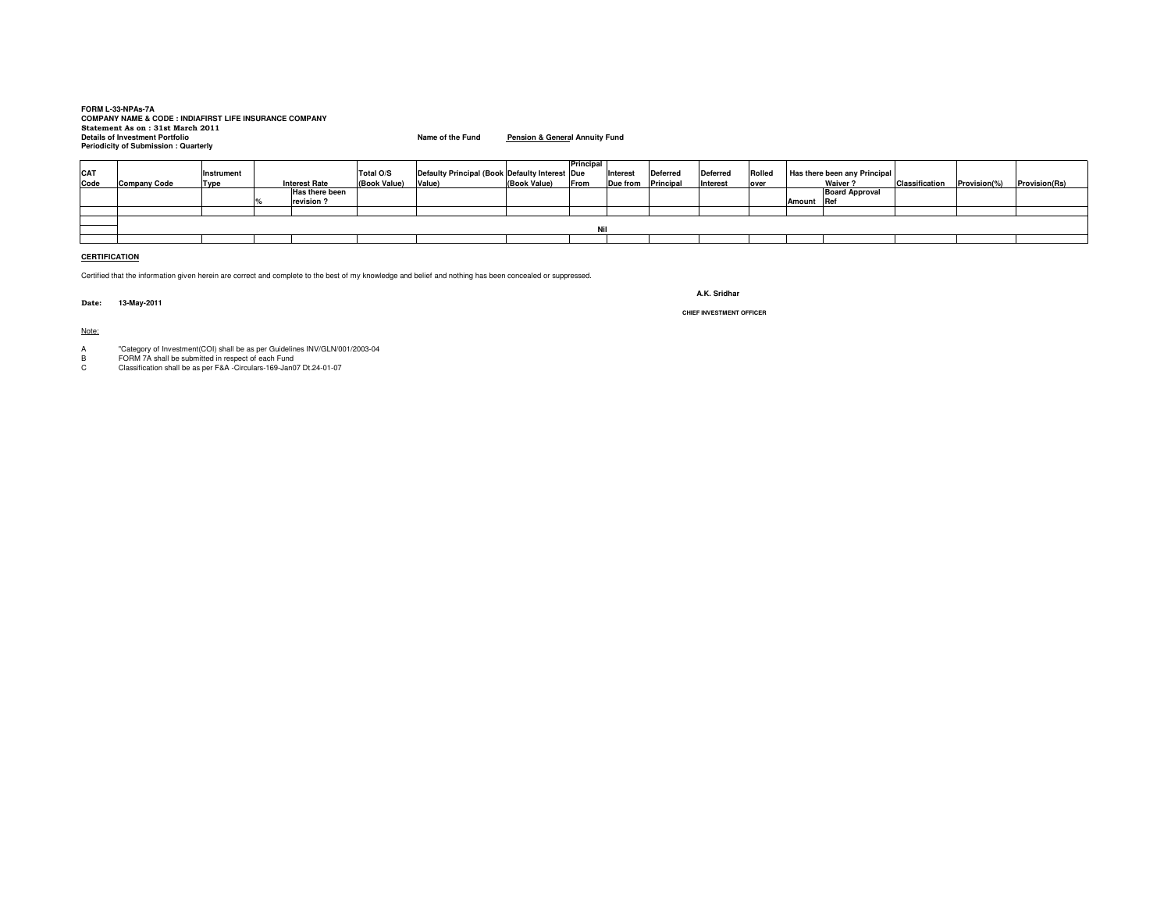# **FORM L-33-NPAs-7A COMPANY NAME & CODE : INDIAFIRST LIFE INSURANCE COMPANY Statement As on : 31st March 2011 Details of Investment PortfolioPeriodicity of Submission : Quarterly**

**Name of the Fund Pension & General Annuity Fund**

|      |                     |                   |                      |              |                                                |              | Principal |          |                 |                 |        |            |                              |                |             |                      |
|------|---------------------|-------------------|----------------------|--------------|------------------------------------------------|--------------|-----------|----------|-----------------|-----------------|--------|------------|------------------------------|----------------|-------------|----------------------|
| CAT  |                     | <b>Instrument</b> |                      | Total O/S    | Defaulty Principal (Book Defaulty Interest Due |              |           | Interest | <b>Deferred</b> | <b>Deferred</b> | Rolled |            | Has there been any Principal |                |             |                      |
| Code | <b>Company Code</b> | <b>Type</b>       | <b>Interest Rate</b> | (Book Value) | Value)                                         | (Book Value) | From      | Due from | Principal       | Interest        | over   |            | <b>Waiver?</b>               | Classification | Provision(% | <b>Provision(Rs)</b> |
|      |                     |                   | Has there been       |              |                                                |              |           |          |                 |                 |        |            | <b>Board Approval</b>        |                |             |                      |
|      |                     |                   | revision?            |              |                                                |              |           |          |                 |                 |        | Amount Ref |                              |                |             |                      |
|      |                     |                   |                      |              |                                                |              |           |          |                 |                 |        |            |                              |                |             |                      |
|      |                     |                   |                      |              |                                                |              |           |          |                 |                 |        |            |                              |                |             |                      |
|      |                     |                   |                      |              |                                                |              | Nil       |          |                 |                 |        |            |                              |                |             |                      |
|      |                     |                   |                      |              |                                                |              |           |          |                 |                 |        |            |                              |                |             |                      |
|      |                     |                   |                      |              |                                                |              |           |          |                 |                 |        |            |                              |                |             |                      |

### **CERTIFICATION**

Certified that the information given herein are correct and complete to the best of my knowledge and belief and nothing has been concealed or suppressed.

**Date: 13-May-2011**

**A.K. Sridhar**

**CHIEF INVESTMENT OFFICER**

#### Note:

A "Category of Investment(COI) shall be as per Guidelines INV/GLN/001/2003-04

B FORM 7A shall be submitted in respect of each Fund C Classification shall be as per F&A -Circulars-169-Jan07 Dt.24-01-07